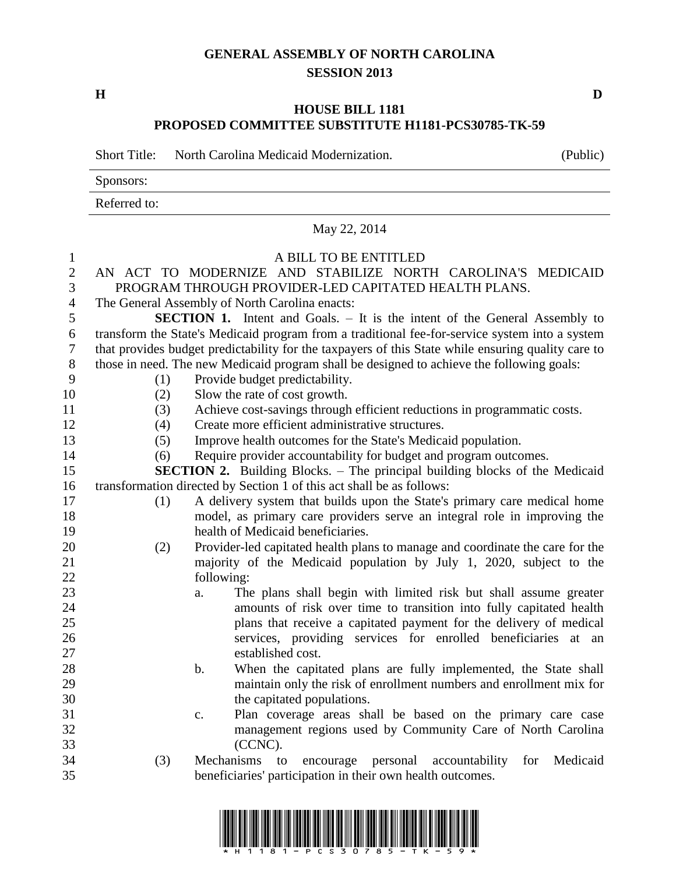## **GENERAL ASSEMBLY OF NORTH CAROLINA SESSION 2013**

**H D**

## **HOUSE BILL 1181 PROPOSED COMMITTEE SUBSTITUTE H1181-PCS30785-TK-59**

|                | <b>Short Title:</b>                                                                                | North Carolina Medicaid Modernization.                                                                                                    | (Public) |
|----------------|----------------------------------------------------------------------------------------------------|-------------------------------------------------------------------------------------------------------------------------------------------|----------|
|                | Sponsors:<br>Referred to:<br>May 22, 2014                                                          |                                                                                                                                           |          |
|                |                                                                                                    |                                                                                                                                           |          |
|                |                                                                                                    |                                                                                                                                           |          |
| $\mathbf{1}$   |                                                                                                    | A BILL TO BE ENTITLED                                                                                                                     |          |
| $\mathbf{2}$   |                                                                                                    | AN ACT TO MODERNIZE AND STABILIZE NORTH CAROLINA'S MEDICAID                                                                               |          |
| 3              |                                                                                                    | PROGRAM THROUGH PROVIDER-LED CAPITATED HEALTH PLANS.                                                                                      |          |
| $\overline{4}$ |                                                                                                    | The General Assembly of North Carolina enacts:                                                                                            |          |
| 5              |                                                                                                    | <b>SECTION 1.</b> Intent and Goals. - It is the intent of the General Assembly to                                                         |          |
| 6              |                                                                                                    | transform the State's Medicaid program from a traditional fee-for-service system into a system                                            |          |
| 7              | that provides budget predictability for the taxpayers of this State while ensuring quality care to |                                                                                                                                           |          |
| 8              | those in need. The new Medicaid program shall be designed to achieve the following goals:          |                                                                                                                                           |          |
| 9              | (1)                                                                                                | Provide budget predictability.                                                                                                            |          |
| 10             | (2)                                                                                                | Slow the rate of cost growth.                                                                                                             |          |
| 11             | (3)                                                                                                | Achieve cost-savings through efficient reductions in programmatic costs.                                                                  |          |
| 12             | (4)                                                                                                | Create more efficient administrative structures.                                                                                          |          |
| 13             | (5)                                                                                                | Improve health outcomes for the State's Medicaid population.                                                                              |          |
| 14             | (6)                                                                                                | Require provider accountability for budget and program outcomes.                                                                          |          |
| 15             | <b>SECTION 2.</b> Building Blocks. – The principal building blocks of the Medicaid                 |                                                                                                                                           |          |
| 16             |                                                                                                    | transformation directed by Section 1 of this act shall be as follows:                                                                     |          |
| 17             | (1)                                                                                                | A delivery system that builds upon the State's primary care medical home                                                                  |          |
| 18             |                                                                                                    | model, as primary care providers serve an integral role in improving the                                                                  |          |
| 19             |                                                                                                    | health of Medicaid beneficiaries.                                                                                                         |          |
| 20             | (2)                                                                                                | Provider-led capitated health plans to manage and coordinate the care for the                                                             |          |
| 21             |                                                                                                    | majority of the Medicaid population by July 1, 2020, subject to the                                                                       |          |
| 22             |                                                                                                    | following:                                                                                                                                |          |
| 23             |                                                                                                    | The plans shall begin with limited risk but shall assume greater<br>a.                                                                    |          |
| 24<br>25       |                                                                                                    | amounts of risk over time to transition into fully capitated health<br>plans that receive a capitated payment for the delivery of medical |          |
| 26             |                                                                                                    | services, providing services for enrolled beneficiaries at an                                                                             |          |
| 27             |                                                                                                    | established cost.                                                                                                                         |          |
| 28             |                                                                                                    | When the capitated plans are fully implemented, the State shall<br>b.                                                                     |          |
| 29             |                                                                                                    | maintain only the risk of enrollment numbers and enrollment mix for                                                                       |          |
| 30             |                                                                                                    | the capitated populations.                                                                                                                |          |
| 31             |                                                                                                    | Plan coverage areas shall be based on the primary care case<br>c.                                                                         |          |
| 32             |                                                                                                    | management regions used by Community Care of North Carolina                                                                               |          |
| 33             |                                                                                                    | (CCNC).                                                                                                                                   |          |
| 34             | (3)                                                                                                | Mechanisms<br>personal<br>accountability for<br>to<br>encourage                                                                           | Medicaid |
| 35             |                                                                                                    | beneficiaries' participation in their own health outcomes.                                                                                |          |
|                |                                                                                                    |                                                                                                                                           |          |

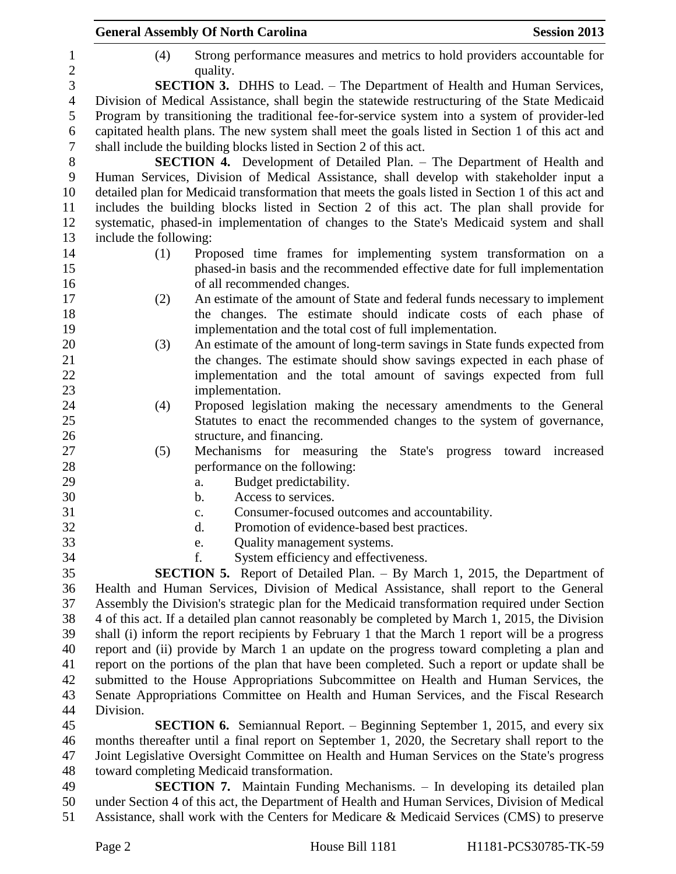| <b>Session 2013</b>                                                                                                                                                                              |  |  |  |
|--------------------------------------------------------------------------------------------------------------------------------------------------------------------------------------------------|--|--|--|
| Strong performance measures and metrics to hold providers accountable for                                                                                                                        |  |  |  |
| <b>SECTION 3.</b> DHHS to Lead. – The Department of Health and Human Services,                                                                                                                   |  |  |  |
| Division of Medical Assistance, shall begin the statewide restructuring of the State Medicaid                                                                                                    |  |  |  |
| Program by transitioning the traditional fee-for-service system into a system of provider-led                                                                                                    |  |  |  |
| capitated health plans. The new system shall meet the goals listed in Section 1 of this act and                                                                                                  |  |  |  |
|                                                                                                                                                                                                  |  |  |  |
| <b>SECTION 4.</b> Development of Detailed Plan. – The Department of Health and                                                                                                                   |  |  |  |
| Human Services, Division of Medical Assistance, shall develop with stakeholder input a                                                                                                           |  |  |  |
| detailed plan for Medicaid transformation that meets the goals listed in Section 1 of this act and                                                                                               |  |  |  |
| includes the building blocks listed in Section 2 of this act. The plan shall provide for                                                                                                         |  |  |  |
| systematic, phased-in implementation of changes to the State's Medicaid system and shall                                                                                                         |  |  |  |
|                                                                                                                                                                                                  |  |  |  |
| Proposed time frames for implementing system transformation on a                                                                                                                                 |  |  |  |
| phased-in basis and the recommended effective date for full implementation                                                                                                                       |  |  |  |
|                                                                                                                                                                                                  |  |  |  |
| An estimate of the amount of State and federal funds necessary to implement                                                                                                                      |  |  |  |
| the changes. The estimate should indicate costs of each phase of                                                                                                                                 |  |  |  |
|                                                                                                                                                                                                  |  |  |  |
| An estimate of the amount of long-term savings in State funds expected from                                                                                                                      |  |  |  |
| the changes. The estimate should show savings expected in each phase of                                                                                                                          |  |  |  |
| implementation and the total amount of savings expected from full                                                                                                                                |  |  |  |
|                                                                                                                                                                                                  |  |  |  |
| Proposed legislation making the necessary amendments to the General                                                                                                                              |  |  |  |
| Statutes to enact the recommended changes to the system of governance,                                                                                                                           |  |  |  |
|                                                                                                                                                                                                  |  |  |  |
| the State's progress toward increased                                                                                                                                                            |  |  |  |
|                                                                                                                                                                                                  |  |  |  |
|                                                                                                                                                                                                  |  |  |  |
|                                                                                                                                                                                                  |  |  |  |
|                                                                                                                                                                                                  |  |  |  |
|                                                                                                                                                                                                  |  |  |  |
|                                                                                                                                                                                                  |  |  |  |
|                                                                                                                                                                                                  |  |  |  |
| <b>SECTION 5.</b> Report of Detailed Plan. – By March 1, 2015, the Department of                                                                                                                 |  |  |  |
| Health and Human Services, Division of Medical Assistance, shall report to the General                                                                                                           |  |  |  |
| Assembly the Division's strategic plan for the Medicaid transformation required under Section<br>4 of this act. If a detailed plan cannot reasonably be completed by March 1, 2015, the Division |  |  |  |
| shall (i) inform the report recipients by February 1 that the March 1 report will be a progress                                                                                                  |  |  |  |
| report and (ii) provide by March 1 an update on the progress toward completing a plan and                                                                                                        |  |  |  |
| report on the portions of the plan that have been completed. Such a report or update shall be                                                                                                    |  |  |  |
| submitted to the House Appropriations Subcommittee on Health and Human Services, the                                                                                                             |  |  |  |
| Senate Appropriations Committee on Health and Human Services, and the Fiscal Research                                                                                                            |  |  |  |
|                                                                                                                                                                                                  |  |  |  |
| <b>SECTION 6.</b> Semiannual Report. – Beginning September 1, 2015, and every six                                                                                                                |  |  |  |
|                                                                                                                                                                                                  |  |  |  |
| months thereafter until a final report on September 1, 2020, the Secretary shall report to the<br>Joint Legislative Oversight Committee on Health and Human Services on the State's progress     |  |  |  |
|                                                                                                                                                                                                  |  |  |  |
| <b>SECTION 7.</b> Maintain Funding Mechanisms. - In developing its detailed plan                                                                                                                 |  |  |  |
|                                                                                                                                                                                                  |  |  |  |

 under Section 4 of this act, the Department of Health and Human Services, Division of Medical Assistance, shall work with the Centers for Medicare & Medicaid Services (CMS) to preserve